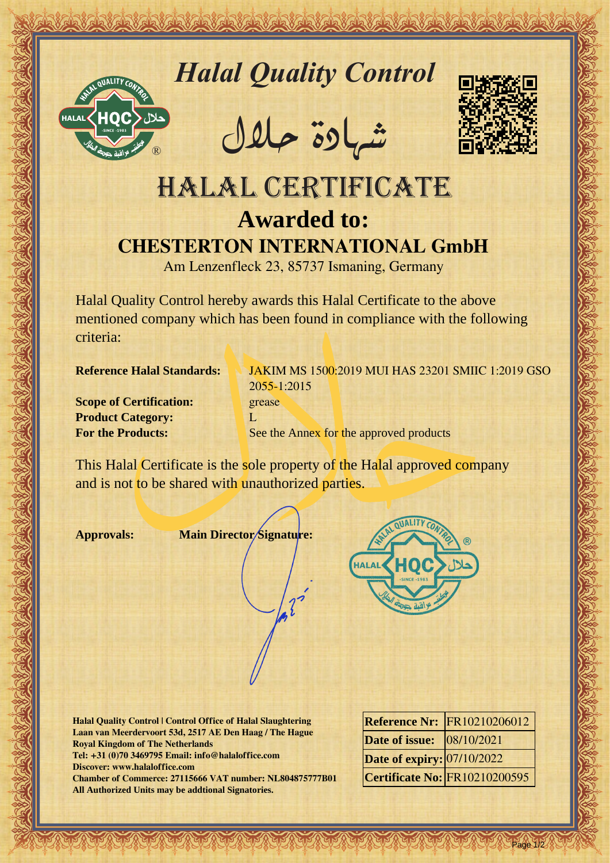

*Halal Quality Control*

REACTOR AND THE REAL PROPERTY OF THE REAL PROPERTY

�شهادة حالل



## Hall Quality Control exception<br>
HALAL CERTIFICATE<br>
HALAL CERTIFICATE<br>
CHESTERTON INTERNATIONAL GIBM<br>
ANDRE CONTRIGATE<br>
CHESTERTON INTERNATIONAL GIBM<br>
And Learning Company withis his them for the direct of the control of th HALAL CERTIFICATE **Awarded to: CHESTERTON INTERNATIONAL GmbH**

Am Lenzenfleck 23, 85737 Ismaning, Germany

Halal Quality Control hereby awards this Halal Certificate to the above mentioned company which has been found in compliance with the following criteria:

**Scope of Certification:** grease **Product Category:** L

**Reference Halal Standards:** JAKIM MS 1500:2019 MUI HAS 23201 SMIIC 1:2019 GSO 2055-1:2015 **For the Products:** See the Annex for the approved products

This Halal Certificate is the sole property of the Halal approved company and is not to be shared with unauthorized parties.

**Approvals: Main Director Signature:**



**Halal Quality Control | Control Office of Halal Slaughtering Laan van Meerdervoort 53d, 2517 AE Den Haag / The Hague Royal Kingdom of The Netherlands Tel: +31 (0)70 3469795 Email: info@halaloffice.com Discover: www.halaloffice.com Chamber of Commerce: 27115666 VAT number: NL804875777B01 All Authorized Units may be addtional Signatories.**

|                                  | <b>Reference Nr: FR10210206012</b>   |
|----------------------------------|--------------------------------------|
| <b>Date of issue:</b> 08/10/2021 |                                      |
| Date of expiry: 07/10/2022       |                                      |
|                                  | <b>Certificate No: FR10210200595</b> |

Page 1/2